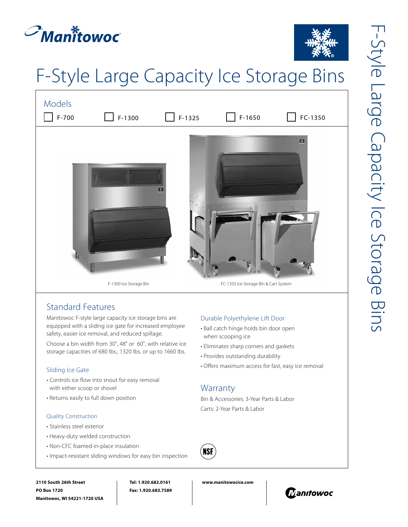



# F-Style Large Capacity Ice Storage Bins



## Standard Features

Manitowoc F-style large capacity ice storage bins are equipped with a sliding ice gate for increased employee safety, easier ice removal, and reduced spillage.

Choose a bin width from 30", 48" or 60", with relative ice storage capacities of 680 lbs., 1320 lbs. or up to 1660 lbs.

#### Sliding Ice Gate

- Controls ice flow into snout for easy removal with either scoop or shovel
- Returns easily to full down position

#### Quality Construction

- Stainless steel exterior
- Heavy-duty welded construction
- Non-CFC foamed-in-place insulation
- Impact-resistant sliding windows for easy bin inspection

#### Durable Polyethylene Lift Door

- Ball catch hinge holds bin door open when scooping ice
- Eliminates sharp corners and gaskets
- Provides outstanding durability
- Offers maximum access for fast, easy ice removal

### **Warranty**

Bin & Accessories: 3-Year Parts & Labor Carts: 2-Year Parts & Labor



**2110 South 26th Street PO Box 1720 Manitowoc, WI 54221-1720 USA**

**Tel: 1.920.682.0161 Fax: 1.920.683.7589** **www.manitowocice.com**